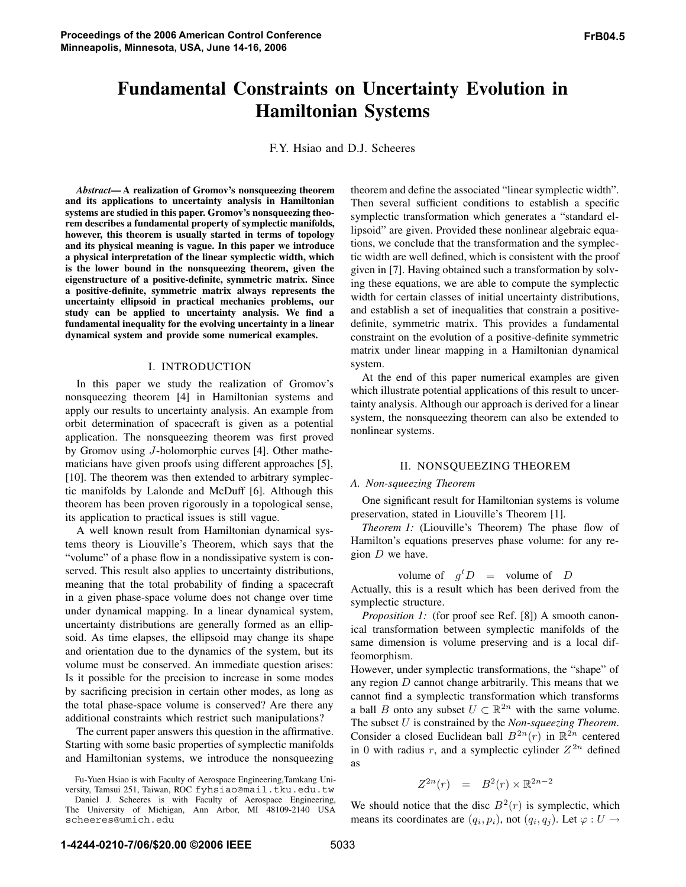# **Fundamental Constraints on Uncertainty Evolution in Hamiltonian Systems**

F.Y. Hsiao and D.J. Scheeres

*Abstract***— A realization of Gromov's nonsqueezing theorem and its applications to uncertainty analysis in Hamiltonian systems are studied in this paper. Gromov's nonsqueezing theorem describes a fundamental property of symplectic manifolds, however, this theorem is usually started in terms of topology and its physical meaning is vague. In this paper we introduce a physical interpretation of the linear symplectic width, which is the lower bound in the nonsqueezing theorem, given the eigenstructure of a positive-definite, symmetric matrix. Since a positive-definite, symmetric matrix always represents the uncertainty ellipsoid in practical mechanics problems, our study can be applied to uncertainty analysis. We find a fundamental inequality for the evolving uncertainty in a linear dynamical system and provide some numerical examples.**

## I. INTRODUCTION

In this paper we study the realization of Gromov's nonsqueezing theorem [4] in Hamiltonian systems and apply our results to uncertainty analysis. An example from orbit determination of spacecraft is given as a potential application. The nonsqueezing theorem was first proved by Gromov using J-holomorphic curves [4]. Other mathematicians have given proofs using different approaches [5], [10]. The theorem was then extended to arbitrary symplectic manifolds by Lalonde and McDuff [6]. Although this theorem has been proven rigorously in a topological sense, its application to practical issues is still vague.

A well known result from Hamiltonian dynamical systems theory is Liouville's Theorem, which says that the "volume" of a phase flow in a nondissipative system is conserved. This result also applies to uncertainty distributions, meaning that the total probability of finding a spacecraft in a given phase-space volume does not change over time under dynamical mapping. In a linear dynamical system, uncertainty distributions are generally formed as an ellipsoid. As time elapses, the ellipsoid may change its shape and orientation due to the dynamics of the system, but its volume must be conserved. An immediate question arises: Is it possible for the precision to increase in some modes by sacrificing precision in certain other modes, as long as the total phase-space volume is conserved? Are there any additional constraints which restrict such manipulations?

The current paper answers this question in the affirmative. Starting with some basic properties of symplectic manifolds and Hamiltonian systems, we introduce the nonsqueezing

Fu-Yuen Hsiao is with Faculty of Aerospace Engineering,Tamkang University, Tamsui 251, Taiwan, ROC fyhsiao@mail.tku.edu.tw

theorem and define the associated "linear symplectic width". Then several sufficient conditions to establish a specific symplectic transformation which generates a "standard ellipsoid" are given. Provided these nonlinear algebraic equations, we conclude that the transformation and the symplectic width are well defined, which is consistent with the proof given in [7]. Having obtained such a transformation by solving these equations, we are able to compute the symplectic width for certain classes of initial uncertainty distributions, and establish a set of inequalities that constrain a positivedefinite, symmetric matrix. This provides a fundamental constraint on the evolution of a positive-definite symmetric matrix under linear mapping in a Hamiltonian dynamical system.

At the end of this paper numerical examples are given which illustrate potential applications of this result to uncertainty analysis. Although our approach is derived for a linear system, the nonsqueezing theorem can also be extended to nonlinear systems.

#### II. NONSQUEEZING THEOREM

#### *A. Non-squeezing Theorem*

One significant result for Hamiltonian systems is volume preservation, stated in Liouville's Theorem [1].

*Theorem 1:* (Liouville's Theorem) The phase flow of Hamilton's equations preserves phase volume: for any region  $D$  we have.

volume of 
$$
g^t D
$$
 = volume of D

Actually, this is a result which has been derived from the symplectic structure.

*Proposition 1:* (for proof see Ref. [8]) A smooth canonical transformation between symplectic manifolds of the same dimension is volume preserving and is a local diffeomorphism.

However, under symplectic transformations, the "shape" of any region D cannot change arbitrarily. This means that we cannot find a symplectic transformation which transforms a ball B onto any subset  $U \subset \mathbb{R}^{2n}$  with the same volume. The subset U is constrained by the *Non-squeezing Theorem*. Consider a closed Euclidean ball  $B^{2n}(r)$  in  $\mathbb{R}^{2n}$  centered in 0 with radius r, and a symplectic cylinder  $Z^{2n}$  defined as

$$
Z^{2n}(r) = B^2(r) \times \mathbb{R}^{2n-2}
$$

We should notice that the disc  $B^2(r)$  is symplectic, which means its coordinates are  $(q_i, p_i)$ , not  $(q_i, q_j)$ . Let  $\varphi : U \to$ 

Daniel J. Scheeres is with Faculty of Aerospace Engineering, The University of Michigan, Ann Arbor, MI 48109-2140 USA scheeres@umich.edu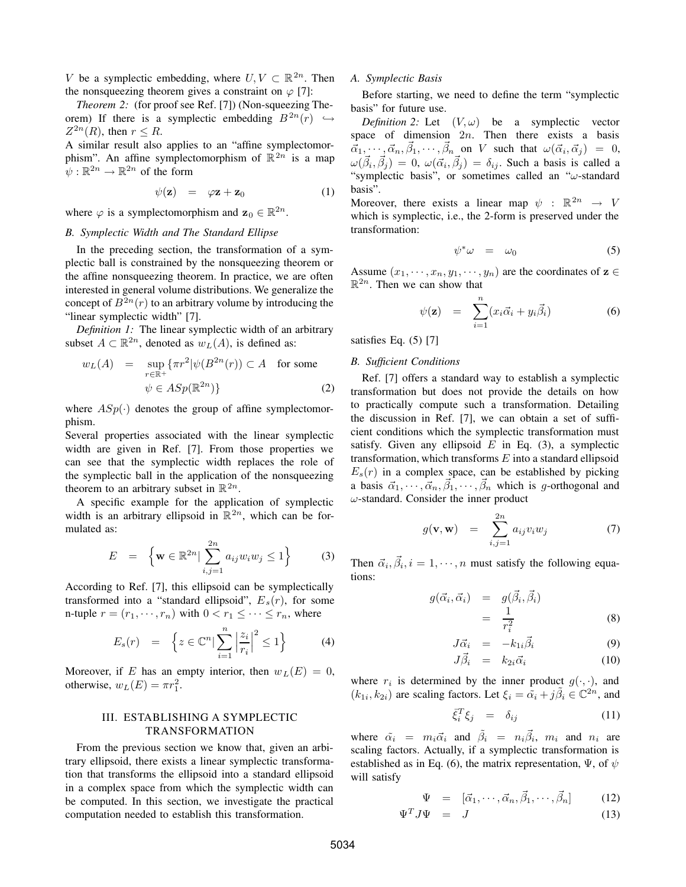V be a symplectic embedding, where  $U, V \subset \mathbb{R}^{2n}$ . Then the nonsqueezing theorem gives a constraint on  $\varphi$  [7]:

*Theorem 2:* (for proof see Ref. [7]) (Non-squeezing Theorem) If there is a symplectic embedding  $B^{2n}(r) \hookrightarrow$  $Z^{2n}(R)$ , then  $r \leq R$ .

A similar result also applies to an "affine symplectomorphism". An affine symplectomorphism of  $\mathbb{R}^{2n}$  is a map  $\psi: \mathbb{R}^{2n} \to \mathbb{R}^{2n}$  of the form

$$
\psi(\mathbf{z}) = \varphi \mathbf{z} + \mathbf{z}_0 \tag{1}
$$

where  $\varphi$  is a symplectomorphism and  $\mathbf{z}_0 \in \mathbb{R}^{2n}$ .

## *B. Symplectic Width and The Standard Ellipse*

In the preceding section, the transformation of a symplectic ball is constrained by the nonsqueezing theorem or the affine nonsqueezing theorem. In practice, we are often interested in general volume distributions. We generalize the concept of  $B^{2n}(r)$  to an arbitrary volume by introducing the "linear symplectic width" [7].

*Definition 1:* The linear symplectic width of an arbitrary subset  $A \subset \mathbb{R}^{2n}$ , denoted as  $w_L(A)$ , is defined as:

$$
w_L(A) = \sup_{r \in \mathbb{R}^+} \{ \pi r^2 | \psi(B^{2n}(r)) \subset A \text{ for some}
$$
  

$$
\psi \in ASp(\mathbb{R}^{2n}) \}
$$
 (2)

where  $ASp(\cdot)$  denotes the group of affine symplectomorphism.

Several properties associated with the linear symplectic width are given in Ref. [7]. From those properties we can see that the symplectic width replaces the role of the symplectic ball in the application of the nonsqueezing theorem to an arbitrary subset in  $\mathbb{R}^{2n}$ .

A specific example for the application of symplectic width is an arbitrary ellipsoid in  $\mathbb{R}^{2n}$ , which can be formulated as:

$$
E = \left\{ \mathbf{w} \in \mathbb{R}^{2n} \mid \sum_{i,j=1}^{2n} a_{ij} w_i w_j \le 1 \right\}
$$
 (3)

According to Ref. [7], this ellipsoid can be symplectically transformed into a "standard ellipsoid",  $E_s(r)$ , for some n-tuple  $r = (r_1, \dots, r_n)$  with  $0 < r_1 \leq \dots \leq r_n$ , where

$$
E_s(r) = \left\{ z \in \mathbb{C}^n \middle| \sum_{i=1}^n \left| \frac{z_i}{r_i} \right|^2 \le 1 \right\} \tag{4}
$$

Moreover, if E has an empty interior, then  $w_L(E)=0$ , otherwise,  $w_L(E) = \pi r_1^2$ .

## III. ESTABLISHING A SYMPLECTIC TRANSFORMATION

From the previous section we know that, given an arbitrary ellipsoid, there exists a linear symplectic transformation that transforms the ellipsoid into a standard ellipsoid in a complex space from which the symplectic width can be computed. In this section, we investigate the practical computation needed to establish this transformation.

### *A. Symplectic Basis*

Before starting, we need to define the term "symplectic basis" for future use.

*Definition 2:* Let  $(V, \omega)$  be a symplectic vector space of dimension  $2n$ . Then there exists a basis  $\vec{\alpha}_1, \cdots, \vec{\alpha}_n, \vec{\beta}_1, \cdots, \vec{\beta}_n$  on V such that  $\omega(\vec{\alpha}_i, \vec{\alpha}_j) = 0$ ,  $\omega(\vec{\beta}_i, \vec{\beta}_j) = 0$ ,  $\omega(\vec{\alpha}_i, \vec{\beta}_j) = \delta_{ij}$ . Such a basis is called a "symplectic basis", or sometimes called an " $\omega$ -standard basis".

Moreover, there exists a linear map  $\psi : \mathbb{R}^{2n} \to V$ which is symplectic, i.e., the 2-form is preserved under the transformation:

$$
\psi^* \omega = \omega_0 \tag{5}
$$

Assume  $(x_1, \dots, x_n, y_1, \dots, y_n)$  are the coordinates of  $z \in$  $\mathbb{R}^{2n}$ . Then we can show that

$$
\psi(\mathbf{z}) = \sum_{i=1}^{n} (x_i \vec{\alpha}_i + y_i \vec{\beta}_i)
$$
\n(6)

satisfies Eq. (5) [7]

## *B. Sufficient Conditions*

Ref. [7] offers a standard way to establish a symplectic transformation but does not provide the details on how to practically compute such a transformation. Detailing the discussion in Ref. [7], we can obtain a set of sufficient conditions which the symplectic transformation must satisfy. Given any ellipsoid  $E$  in Eq. (3), a symplectic transformation, which transforms  $E$  into a standard ellipsoid  $E_s(r)$  in a complex space, can be established by picking a basis  $\vec{\alpha}_1, \dots, \vec{\alpha}_n, \vec{\beta}_1, \dots, \vec{\beta}_n$  which is g-orthogonal and  $\omega$ -standard. Consider the inner product

$$
g(\mathbf{v}, \mathbf{w}) = \sum_{i,j=1}^{2n} a_{ij} v_i w_j \tag{7}
$$

Then  $\vec{\alpha}_i, \vec{\beta}_i, i = 1, \dots, n$  must satisfy the following equations:

$$
g(\vec{\alpha}_i, \vec{\alpha}_i) = g(\vec{\beta}_i, \vec{\beta}_i)
$$
  
= 
$$
\frac{1}{r_i^2}
$$
 (8)

$$
J\vec{\alpha}_i = -k_{1i}\vec{\beta}_i \tag{9}
$$

$$
J\vec{\beta}_i = k_{2i}\vec{\alpha}_i \tag{10}
$$

where  $r_i$  is determined by the inner product  $g(\cdot, \cdot)$ , and  $(k_{1i}, k_{2i})$  are scaling factors. Let  $\xi_i = \tilde{\alpha}_i + j\tilde{\beta}_i \in \mathbb{C}^{2n}$ , and

$$
\bar{\xi}_i^T \xi_j = \delta_{ij} \tag{11}
$$

where  $\tilde{\alpha}_i = m_i \vec{\alpha}_i$  and  $\tilde{\beta}_i = n_i \vec{\beta}_i$ ,  $m_i$  and  $n_i$  are scaling factors. Actually, if a symplectic transformation is established as in Eq. (6), the matrix representation,  $\Psi$ , of  $\psi$ will satisfy

$$
\Psi = [\vec{\alpha}_1, \cdots, \vec{\alpha}_n, \vec{\beta}_1, \cdots, \vec{\beta}_n]
$$
 (12)

$$
\Psi^T J \Psi = J \tag{13}
$$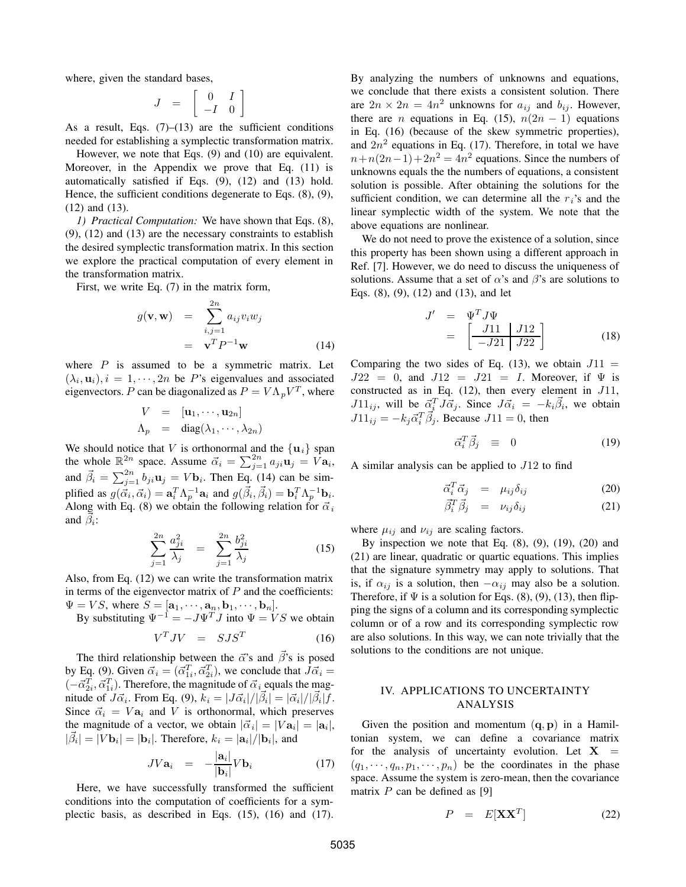where, given the standard bases,

$$
J = \left[ \begin{array}{cc} 0 & I \\ -I & 0 \end{array} \right]
$$

As a result, Eqs.  $(7)$ – $(13)$  are the sufficient conditions needed for establishing a symplectic transformation matrix.

However, we note that Eqs. (9) and (10) are equivalent. Moreover, in the Appendix we prove that Eq. (11) is automatically satisfied if Eqs. (9), (12) and (13) hold. Hence, the sufficient conditions degenerate to Eqs. (8), (9), (12) and (13).

*1) Practical Computation:* We have shown that Eqs. (8), (9), (12) and (13) are the necessary constraints to establish the desired symplectic transformation matrix. In this section we explore the practical computation of every element in the transformation matrix.

First, we write Eq. (7) in the matrix form,

$$
g(\mathbf{v}, \mathbf{w}) = \sum_{i,j=1}^{2n} a_{ij} v_i w_j
$$

$$
= \mathbf{v}^T P^{-1} \mathbf{w}
$$
(14)

where  $P$  is assumed to be a symmetric matrix. Let  $(\lambda_i, \mathbf{u}_i), i = 1, \dots, 2n$  be P's eigenvalues and associated eigenvectors. P can be diagonalized as  $P = V \Lambda_p V^T$ , where

$$
V = [\mathbf{u}_1, \cdots, \mathbf{u}_{2n}]
$$
  
\n
$$
\Lambda_p = \text{diag}(\lambda_1, \cdots, \lambda_{2n})
$$

We should notice that V is orthonormal and the  $\{u_i\}$  span the whole  $\mathbb{R}^{2n}$  space. Assume  $\vec{\alpha}_i = \sum_{j=1}^{2n} a_{ji} \mathbf{u}_j = V \mathbf{a}_i$ , and  $\vec{\beta}_i = \sum_{j=1}^{2n} b_{ji} \mathbf{u}_j = V \mathbf{b}_i$ . Then Eq. (14) can be simplified as  $g(\vec{\alpha}_i, \vec{\alpha}_i) = \mathbf{a}_i^T \Lambda_p^{-1} \mathbf{a}_i$  and  $g(\vec{\beta}_i, \vec{\beta}_i) = \mathbf{b}_i^T \Lambda_p^{-1} \mathbf{b}_i$ .<br>Along with Eq. (8) we obtain the following relation for  $\vec{\alpha}$ . Along with Eq. (8) we obtain the following relation for  $\vec{\alpha}_i$ and  $\beta_i$ :

$$
\sum_{j=1}^{2n} \frac{a_{ji}^2}{\lambda_j} = \sum_{j=1}^{2n} \frac{b_{ji}^2}{\lambda_j}
$$
 (15)

Also, from Eq. (12) we can write the transformation matrix in terms of the eigenvector matrix of  $P$  and the coefficients:  $\Psi = VS$ , where  $S = [\mathbf{a}_1, \dots, \mathbf{a}_n, \mathbf{b}_1, \dots, \mathbf{b}_n].$ 

By substituting  $\Psi^{-1} = -J\Psi^T J$  into  $\Psi = VS$  we obtain

$$
V^T J V = S J S^T \t\t(16)
$$

The third relationship between the  $\vec{\alpha}$ 's and  $\vec{\beta}$ 's is posed by Eq. (9). Given  $\vec{\alpha}_i = (\vec{\alpha}_{1i}^T, \vec{\alpha}_{2i}^T)$ , we conclude that  $J\vec{\alpha}_i =$  $(-\vec{\alpha}_{2i}^T, \vec{\alpha}_{1i}^T)$ . Therefore, the magnitude of  $\vec{\alpha}_i$  equals the magnitude of  $J\vec{\alpha}_i$ . From Eq. (9),  $k_i = |J\vec{\alpha}_i|/|\vec{\beta}_i| = |\vec{\alpha}_i|/|\vec{\beta}_i|f$ . Since  $\vec{\alpha}_i = V \mathbf{a}_i$  and V is orthonormal, which preserves the magnitude of a vector, we obtain  $|\vec{\alpha}_i| = |V\mathbf{a}_i| = |\mathbf{a}_i|$ ,  $|\vec{\beta}_i| = |V \mathbf{b}_i| = |\mathbf{b}_i|$ . Therefore,  $k_i = |\mathbf{a}_i|/|\mathbf{b}_i|$ , and

$$
JVa_i = -\frac{|a_i|}{|\mathbf{b}_i|}Vb_i \t(17)
$$

 $|\mathbf{b}_i|$ <br>Here, we have successfully transformed the sufficient conditions into the computation of coefficients for a symplectic basis, as described in Eqs. (15), (16) and (17). By analyzing the numbers of unknowns and equations, we conclude that there exists a consistent solution. There are  $2n \times 2n = 4n^2$  unknowns for  $a_{ij}$  and  $b_{ij}$ . However, there are *n* equations in Eq. (15),  $n(2n - 1)$  equations in Eq. (16) (because of the skew symmetric properties), and  $2n^2$  equations in Eq. (17). Therefore, in total we have  $n+n(2n-1)+2n^2 = 4n^2$  equations. Since the numbers of unknowns equals the the numbers of equations, a consistent solution is possible. After obtaining the solutions for the sufficient condition, we can determine all the  $r_i$ 's and the linear symplectic width of the system. We note that the above equations are nonlinear.

We do not need to prove the existence of a solution, since this property has been shown using a different approach in Ref. [7]. However, we do need to discuss the uniqueness of solutions. Assume that a set of  $\alpha$ 's and  $\beta$ 's are solutions to Eqs. (8), (9), (12) and (13), and let

$$
J' = \Psi^T J \Psi
$$
  
= 
$$
\begin{bmatrix} J11 & J12 \\ -J21 & J22 \end{bmatrix}
$$
 (18)

Comparing the two sides of Eq. (13), we obtain  $J11 =$  $J22 = 0$ , and  $J12 = J21 = I$ . Moreover, if  $\Psi$  is constructed as in Eq.  $(12)$ , then every element in  $J11$ ,  $J11_{ij}$ , will be  $\vec{a}_i^T J \vec{a}_j$ . Since  $J \vec{a}_i = -k_i \vec{\beta}_i$ , we obtain  $J11_{ij} = -k_j \vec{\alpha}_i^T \vec{\beta}_j$ . Because  $J11 = 0$ , then

$$
\vec{\alpha}_i^T \vec{\beta}_j \equiv 0 \tag{19}
$$

A similar analysis can be applied to  $J12$  to find

$$
\vec{\alpha}_i^T \vec{\alpha}_j = \mu_{ij} \delta_{ij} \tag{20}
$$

$$
\vec{\beta}_i^T \vec{\beta}_j = \nu_{ij} \delta_{ij} \tag{21}
$$

where  $\mu_{ij}$  and  $\nu_{ij}$  are scaling factors.

By inspection we note that Eq.  $(8)$ ,  $(9)$ ,  $(19)$ ,  $(20)$  and (21) are linear, quadratic or quartic equations. This implies that the signature symmetry may apply to solutions. That is, if  $\alpha_{ij}$  is a solution, then  $-\alpha_{ij}$  may also be a solution. Therefore, if  $\Psi$  is a solution for Eqs. (8), (9), (13), then flipping the signs of a column and its corresponding symplectic column or of a row and its corresponding symplectic row are also solutions. In this way, we can note trivially that the solutions to the conditions are not unique.

# IV. APPLICATIONS TO UNCERTAINTY ANALYSIS

Given the position and momentum (**q**, **p**) in a Hamiltonian system, we can define a covariance matrix for the analysis of uncertainty evolution. Let  $X =$  $(q_1, \dots, q_n, p_1, \dots, p_n)$  be the coordinates in the phase space. Assume the system is zero-mean, then the covariance matrix  $P$  can be defined as [9]

$$
P = E[XX^T] \tag{22}
$$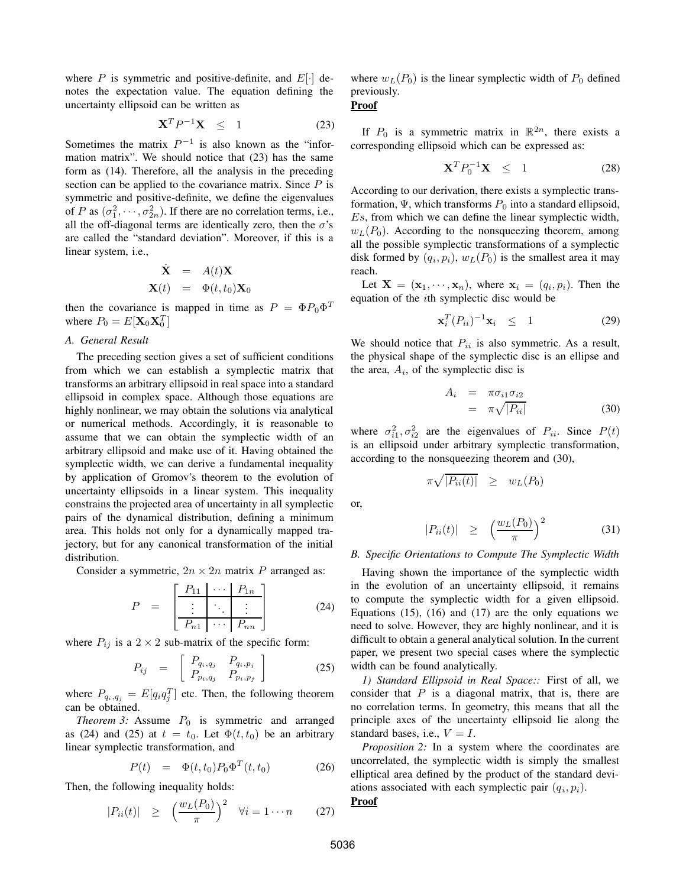where  $P$  is symmetric and positive-definite, and  $E[\cdot]$  denotes the expectation value. The equation defining the uncertainty ellipsoid can be written as

$$
\mathbf{X}^T P^{-1} \mathbf{X} \leq 1 \tag{23}
$$

Sometimes the matrix  $P^{-1}$  is also known as the "information matrix". We should notice that (23) has the same form as (14). Therefore, all the analysis in the preceding section can be applied to the covariance matrix. Since  $P$  is symmetric and positive-definite, we define the eigenvalues of P as  $(\sigma_1^2, \dots, \sigma_{2n}^2)$ . If there are no correlation terms, i.e., all the off-diagonal terms are identically zero, then the  $\sigma$ 's are called the "standard deviation". Moreover, if this is a linear system, i.e.,

$$
\dot{\mathbf{X}} = A(t)\mathbf{X} \n\mathbf{X}(t) = \Phi(t, t_0)\mathbf{X}_0
$$

then the covariance is mapped in time as  $P = \Phi P_0 \Phi^T$ where  $P_0 = E[\mathbf{X}_0 \mathbf{X}_0^T]$ 

# *A. General Result*

The preceding section gives a set of sufficient conditions from which we can establish a symplectic matrix that transforms an arbitrary ellipsoid in real space into a standard ellipsoid in complex space. Although those equations are highly nonlinear, we may obtain the solutions via analytical or numerical methods. Accordingly, it is reasonable to assume that we can obtain the symplectic width of an arbitrary ellipsoid and make use of it. Having obtained the symplectic width, we can derive a fundamental inequality by application of Gromov's theorem to the evolution of uncertainty ellipsoids in a linear system. This inequality constrains the projected area of uncertainty in all symplectic pairs of the dynamical distribution, defining a minimum area. This holds not only for a dynamically mapped trajectory, but for any canonical transformation of the initial distribution.

Consider a symmetric,  $2n \times 2n$  matrix P arranged as:

$$
P = \begin{bmatrix} P_{11} & \cdots & P_{1n} \\ \vdots & \ddots & \vdots \\ \hline P_{n1} & \cdots & P_{nn} \end{bmatrix}
$$
 (24)

where  $P_{ij}$  is a 2 × 2 sub-matrix of the specific form:

$$
P_{ij} = \begin{bmatrix} P_{q_i,q_j} & P_{q_i,p_j} \\ P_{p_i,q_j} & P_{p_i,p_j} \end{bmatrix}
$$
 (25)

where  $P_{q_i,q_j} = E[q_i q_j^T]$  etc. Then, the following theorem can be obtained.

*Theorem 3:* Assume  $P_0$  is symmetric and arranged as (24) and (25) at  $t = t_0$ . Let  $\Phi(t, t_0)$  be an arbitrary linear symplectic transformation, and

$$
P(t) = \Phi(t, t_0) P_0 \Phi^T(t, t_0)
$$
 (26)

Then, the following inequality holds:

$$
|P_{ii}(t)| \geq \left(\frac{w_L(P_0)}{\pi}\right)^2 \quad \forall i = 1 \cdots n \qquad (27)
$$

where  $w_L(P_0)$  is the linear symplectic width of  $P_0$  defined previously.

## **Proof**

If  $P_0$  is a symmetric matrix in  $\mathbb{R}^{2n}$ , there exists a corresponding ellipsoid which can be expressed as:

$$
\mathbf{X}^T P_0^{-1} \mathbf{X} \leq 1 \tag{28}
$$

According to our derivation, there exists a symplectic transformation,  $\Psi$ , which transforms  $P_0$  into a standard ellipsoid, Es, from which we can define the linear symplectic width,  $w_L(P_0)$ . According to the nonsqueezing theorem, among all the possible symplectic transformations of a symplectic disk formed by  $(q_i, p_i)$ ,  $w_L(P_0)$  is the smallest area it may reach.

Let  $X = (\mathbf{x}_1, \dots, \mathbf{x}_n)$ , where  $\mathbf{x}_i = (q_i, p_i)$ . Then the equation of the ith symplectic disc would be

$$
\mathbf{x}_i^T (P_{ii})^{-1} \mathbf{x}_i \leq 1 \tag{29}
$$

We should notice that  $P_{ii}$  is also symmetric. As a result, the physical shape of the symplectic disc is an ellipse and the area,  $A_i$ , of the symplectic disc is

$$
A_i = \pi \sigma_{i1} \sigma_{i2}
$$
  
=  $\pi \sqrt{|P_{ii}|}$  (30)

where  $\sigma_{i1}^2, \sigma_{i2}^2$  are the eigenvalues of  $P_{ii}$ . Since  $P(t)$ is an ellipsoid under arbitrary symplectic transformation, according to the nonsqueezing theorem and (30),

$$
\pi \sqrt{|P_{ii}(t)|} \geq w_L(P_0)
$$

or,

$$
|P_{ii}(t)| \geq \left(\frac{w_L(P_0)}{\pi}\right)^2 \tag{31}
$$

### *B. Specific Orientations to Compute The Symplectic Width*

Having shown the importance of the symplectic width in the evolution of an uncertainty ellipsoid, it remains to compute the symplectic width for a given ellipsoid. Equations  $(15)$ ,  $(16)$  and  $(17)$  are the only equations we need to solve. However, they are highly nonlinear, and it is difficult to obtain a general analytical solution. In the current paper, we present two special cases where the symplectic width can be found analytically.

*1) Standard Ellipsoid in Real Space::* First of all, we consider that  $P$  is a diagonal matrix, that is, there are no correlation terms. In geometry, this means that all the principle axes of the uncertainty ellipsoid lie along the standard bases, i.e.,  $V = I$ .

*Proposition 2:* In a system where the coordinates are uncorrelated, the symplectic width is simply the smallest elliptical area defined by the product of the standard deviations associated with each symplectic pair  $(q_i, p_i)$ .

# **Proof**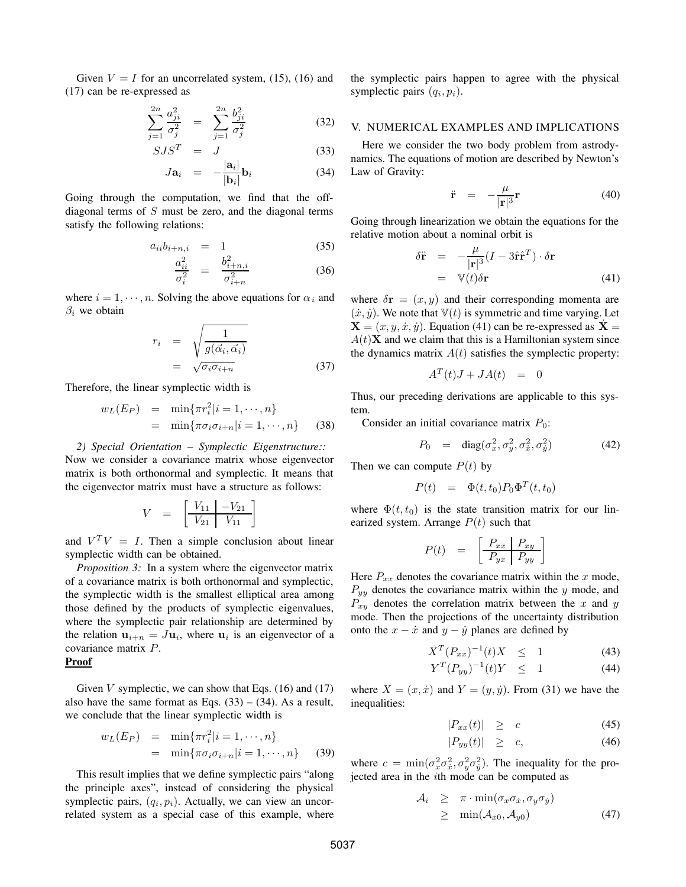Given  $V = I$  for an uncorrelated system, (15), (16) and (17) can be re-expressed as

$$
\sum_{j=1}^{2n} \frac{a_{ji}^2}{\sigma_j^2} = \sum_{j=1}^{2n} \frac{b_{ji}^2}{\sigma_j^2}
$$
 (32)

$$
SJS^T = J \tag{33}
$$

$$
J\mathbf{a}_i = -\frac{|\mathbf{a}_i|}{|\mathbf{b}_i|}\mathbf{b}_i \tag{34}
$$

Going through the computation, we find that the offdiagonal terms of S must be zero, and the diagonal terms satisfy the following relations:

$$
a_{ii}b_{i+n,i} = 1 \tag{35}
$$

$$
\frac{a_{ii}^2}{\sigma_i^2} = \frac{b_{i+n,i}^2}{\sigma_{i+n}^2}
$$
 (36)

where  $i = 1, \dots, n$ . Solving the above equations for  $\alpha_i$  and  $\beta_i$  we obtain

$$
r_i = \sqrt{\frac{1}{g(\vec{\alpha}_i, \vec{\alpha}_i)}}
$$
  
=  $\sqrt{\sigma_i \sigma_{i+n}}$  (37)

Therefore, the linear symplectic width is

$$
w_L(E_P) = \min\{\pi r_i^2 | i = 1, \cdots, n\}
$$
  
=  $\min\{\pi \sigma_i \sigma_{i+n} | i = 1, \cdots, n\}$  (38)

*2) Special Orientation – Symplectic Eigenstructure::* Now we consider a covariance matrix whose eigenvector matrix is both orthonormal and symplectic. It means that the eigenvector matrix must have a structure as follows:

$$
V = \left[ \begin{array}{c|c} V_{11} & -V_{21} \\ \hline V_{21} & V_{11} \end{array} \right]
$$

and  $V^T V = I$ . Then a simple conclusion about linear symplectic width can be obtained.

*Proposition 3:* In a system where the eigenvector matrix of a covariance matrix is both orthonormal and symplectic, the symplectic width is the smallest elliptical area among those defined by the products of symplectic eigenvalues, where the symplectic pair relationship are determined by the relation  $\mathbf{u}_{i+n} = J\mathbf{u}_i$ , where  $\mathbf{u}_i$  is an eigenvector of a covariance matrix P.

## **Proof**

Given  $V$  symplectic, we can show that Eqs. (16) and (17) also have the same format as Eqs.  $(33) - (34)$ . As a result, we conclude that the linear symplectic width is

$$
w_L(E_P) = \min\{\pi r_i^2 | i = 1, \cdots, n\}
$$
  
=  $\min\{\pi \sigma_i \sigma_{i+n} | i = 1, \cdots, n\}$  (39)

This result implies that we define symplectic pairs "along the principle axes", instead of considering the physical symplectic pairs,  $(q_i, p_i)$ . Actually, we can view an uncorrelated system as a special case of this example, where the symplectic pairs happen to agree with the physical symplectic pairs  $(q_i, p_i)$ .

# V. NUMERICAL EXAMPLES AND IMPLICATIONS

Here we consider the two body problem from astrodynamics. The equations of motion are described by Newton's Law of Gravity:

$$
\ddot{\mathbf{r}} = -\frac{\mu}{|\mathbf{r}|^3} \mathbf{r} \tag{40}
$$

Going through linearization we obtain the equations for the relative motion about a nominal orbit is

$$
\delta \ddot{\mathbf{r}} = -\frac{\mu}{|\mathbf{r}|^3} (I - 3\hat{\mathbf{r}} \hat{\mathbf{r}}^T) \cdot \delta \mathbf{r}
$$
  
=  $\mathbb{V}(t) \delta \mathbf{r}$  (41)

where  $\delta \mathbf{r} = (x, y)$  and their corresponding momenta are  $(\dot{x}, \dot{y})$ . We note that  $\mathbb{V}(t)$  is symmetric and time varying. Let  $X = (x, y, \dot{x}, \dot{y})$ . Equation (41) can be re-expressed as  $\dot{X} =$  $A(t)$ **X** and we claim that this is a Hamiltonian system since the dynamics matrix  $A(t)$  satisfies the symplectic property:

$$
A^T(t)J + JA(t) = 0
$$

Thus, our preceding derivations are applicable to this system.

Consider an initial covariance matrix  $P_0$ :

$$
P_0 = \text{diag}(\sigma_x^2, \sigma_y^2, \sigma_x^2, \sigma_y^2) \tag{42}
$$

Then we can compute  $P(t)$  by

$$
P(t) = \Phi(t, t_0) P_0 \Phi^T(t, t_0)
$$

where  $\Phi(t, t_0)$  is the state transition matrix for our linearized system. Arrange  $P(t)$  such that

$$
P(t) = \left[ \begin{array}{c|c} P_{xx} & P_{xy} \\ \hline P_{yx} & P_{yy} \end{array} \right]
$$

Here  $P_{xx}$  denotes the covariance matrix within the x mode,  $P_{yy}$  denotes the covariance matrix within the y mode, and  $P_{xy}$  denotes the correlation matrix between the x and y mode. Then the projections of the uncertainty distribution onto the  $x - \dot{x}$  and  $y - \dot{y}$  planes are defined by

$$
X^{T} (P_{xx})^{-1} (t) X \leq 1 \tag{43}
$$

$$
Y^{T} (P_{yy})^{-1} (t) Y \leq 1 \tag{44}
$$

where  $X = (x, \dot{x})$  and  $Y = (y, \dot{y})$ . From (31) we have the inequalities:

$$
|P_{xx}(t)| \geq c \tag{45}
$$

$$
|P_{yy}(t)| \geq c, \tag{46}
$$

where  $c = \min(\sigma_x^2 \sigma_x^2, \sigma_y^2 \sigma_y^2)$ . The inequality for the projected area in the ith mode can be computed as

$$
\begin{array}{rcl}\n\mathcal{A}_i & \geq & \pi \cdot \min(\sigma_x \sigma_x, \sigma_y \sigma_y) \\
& \geq & \min(\mathcal{A}_{x0}, \mathcal{A}_{y0})\n\end{array} \tag{47}
$$